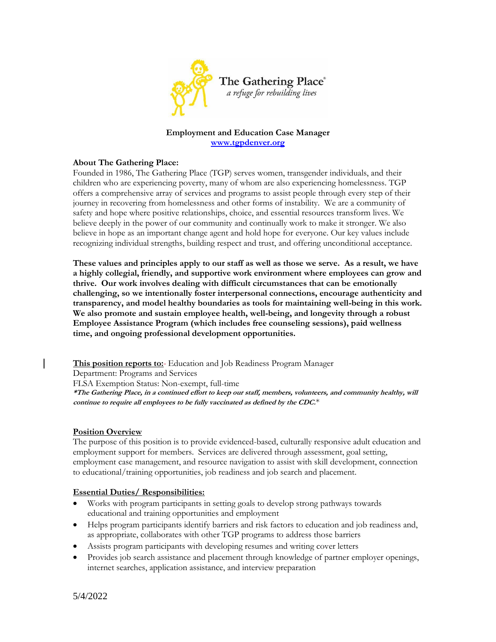

### **Employment and Education Case Manager [www.tgpdenver.org](http://www.tgpdenver.org/)**

### **About The Gathering Place:**

Founded in 1986, The Gathering Place (TGP) serves women, transgender individuals, and their children who are experiencing poverty, many of whom are also experiencing homelessness. TGP offers a comprehensive array of services and programs to assist people through every step of their journey in recovering from homelessness and other forms of instability. We are a community of safety and hope where positive relationships, choice, and essential resources transform lives. We believe deeply in the power of our community and continually work to make it stronger. We also believe in hope as an important change agent and hold hope for everyone. Our key values include recognizing individual strengths, building respect and trust, and offering unconditional acceptance.

**These values and principles apply to our staff as well as those we serve. As a result, we have a highly collegial, friendly, and supportive work environment where employees can grow and thrive. Our work involves dealing with difficult circumstances that can be emotionally challenging, so we intentionally foster interpersonal connections, encourage authenticity and transparency, and model healthy boundaries as tools for maintaining well-being in this work. We also promote and sustain employee health, well-being, and longevity through a robust Employee Assistance Program (which includes free counseling sessions), paid wellness time, and ongoing professional development opportunities.**

This position reports to:- Education and Job Readiness Program Manager

Department: Programs and Services

FLSA Exemption Status: Non-exempt, full-time

**\*The Gathering Place, in a continued effort to keep our staff, members, volunteers, and community healthy, will continue to require all employees to be fully vaccinated as defined by the CDC.**\*

### **Position Overview**

The purpose of this position is to provide evidenced-based, culturally responsive adult education and employment support for members. Services are delivered through assessment, goal setting, employment case management, and resource navigation to assist with skill development, connection to educational/training opportunities, job readiness and job search and placement.

### **Essential Duties/ Responsibilities:**

- Works with program participants in setting goals to develop strong pathways towards educational and training opportunities and employment
- Helps program participants identify barriers and risk factors to education and job readiness and, as appropriate, collaborates with other TGP programs to address those barriers
- Assists program participants with developing resumes and writing cover letters
- Provides job search assistance and placement through knowledge of partner employer openings, internet searches, application assistance, and interview preparation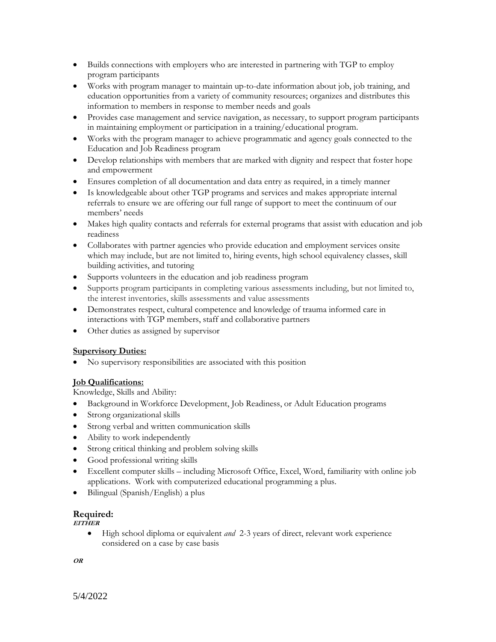- Builds connections with employers who are interested in partnering with TGP to employ program participants
- Works with program manager to maintain up-to-date information about job, job training, and education opportunities from a variety of community resources; organizes and distributes this information to members in response to member needs and goals
- Provides case management and service navigation, as necessary, to support program participants in maintaining employment or participation in a training/educational program.
- Works with the program manager to achieve programmatic and agency goals connected to the Education and Job Readiness program
- Develop relationships with members that are marked with dignity and respect that foster hope and empowerment
- Ensures completion of all documentation and data entry as required, in a timely manner
- Is knowledgeable about other TGP programs and services and makes appropriate internal referrals to ensure we are offering our full range of support to meet the continuum of our members' needs
- Makes high quality contacts and referrals for external programs that assist with education and job readiness
- Collaborates with partner agencies who provide education and employment services onsite which may include, but are not limited to, hiring events, high school equivalency classes, skill building activities, and tutoring
- Supports volunteers in the education and job readiness program
- Supports program participants in completing various assessments including, but not limited to, the interest inventories, skills assessments and value assessments
- Demonstrates respect, cultural competence and knowledge of trauma informed care in interactions with TGP members, staff and collaborative partners
- Other duties as assigned by supervisor

### **Supervisory Duties:**

No supervisory responsibilities are associated with this position

# **Job Qualifications:**

Knowledge, Skills and Ability:

- Background in Workforce Development, Job Readiness, or Adult Education programs
- Strong organizational skills
- Strong verbal and written communication skills
- Ability to work independently
- Strong critical thinking and problem solving skills
- Good professional writing skills
- Excellent computer skills including Microsoft Office, Excel, Word, familiarity with online job applications. Work with computerized educational programming a plus.
- Bilingual (Spanish/English) a plus

# **Required:**

**EITHER**

 High school diploma or equivalent *and* 2-3 years of direct, relevant work experience considered on a case by case basis

**OR**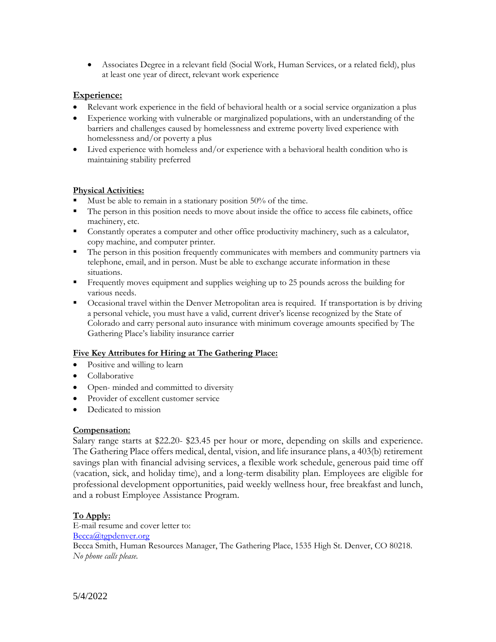Associates Degree in a relevant field (Social Work, Human Services, or a related field), plus at least one year of direct, relevant work experience

### **Experience:**

- Relevant work experience in the field of behavioral health or a social service organization a plus
- Experience working with vulnerable or marginalized populations, with an understanding of the barriers and challenges caused by homelessness and extreme poverty lived experience with homelessness and/or poverty a plus
- Lived experience with homeless and/or experience with a behavioral health condition who is maintaining stability preferred

### **Physical Activities:**

- Must be able to remain in a stationary position 50% of the time.
- The person in this position needs to move about inside the office to access file cabinets, office machinery, etc.
- **Constantly operates a computer and other office productivity machinery, such as a calculator,** copy machine, and computer printer.
- The person in this position frequently communicates with members and community partners via telephone, email, and in person. Must be able to exchange accurate information in these situations.
- **Figure 1** Frequently moves equipment and supplies weighing up to 25 pounds across the building for various needs.
- Occasional travel within the Denver Metropolitan area is required. If transportation is by driving a personal vehicle, you must have a valid, current driver's license recognized by the State of Colorado and carry personal auto insurance with minimum coverage amounts specified by The Gathering Place's liability insurance carrier

### **Five Key Attributes for Hiring at The Gathering Place:**

- Positive and willing to learn
- Collaborative
- Open- minded and committed to diversity
- Provider of excellent customer service
- Dedicated to mission

### **Compensation:**

Salary range starts at \$22.20- \$23.45 per hour or more, depending on skills and experience. The Gathering Place offers medical, dental, vision, and life insurance plans, a 403(b) retirement savings plan with financial advising services, a flexible work schedule, generous paid time off (vacation, sick, and holiday time), and a long-term disability plan. Employees are eligible for professional development opportunities, paid weekly wellness hour, free breakfast and lunch, and a robust Employee Assistance Program.

# **To Apply:**

E-mail resume and cover letter to: [Becca@tgpdenver.org](mailto:Becca@tgpdenver.org) Becca Smith, Human Resources Manager, The Gathering Place, 1535 High St. Denver, CO 80218. *No phone calls please.*